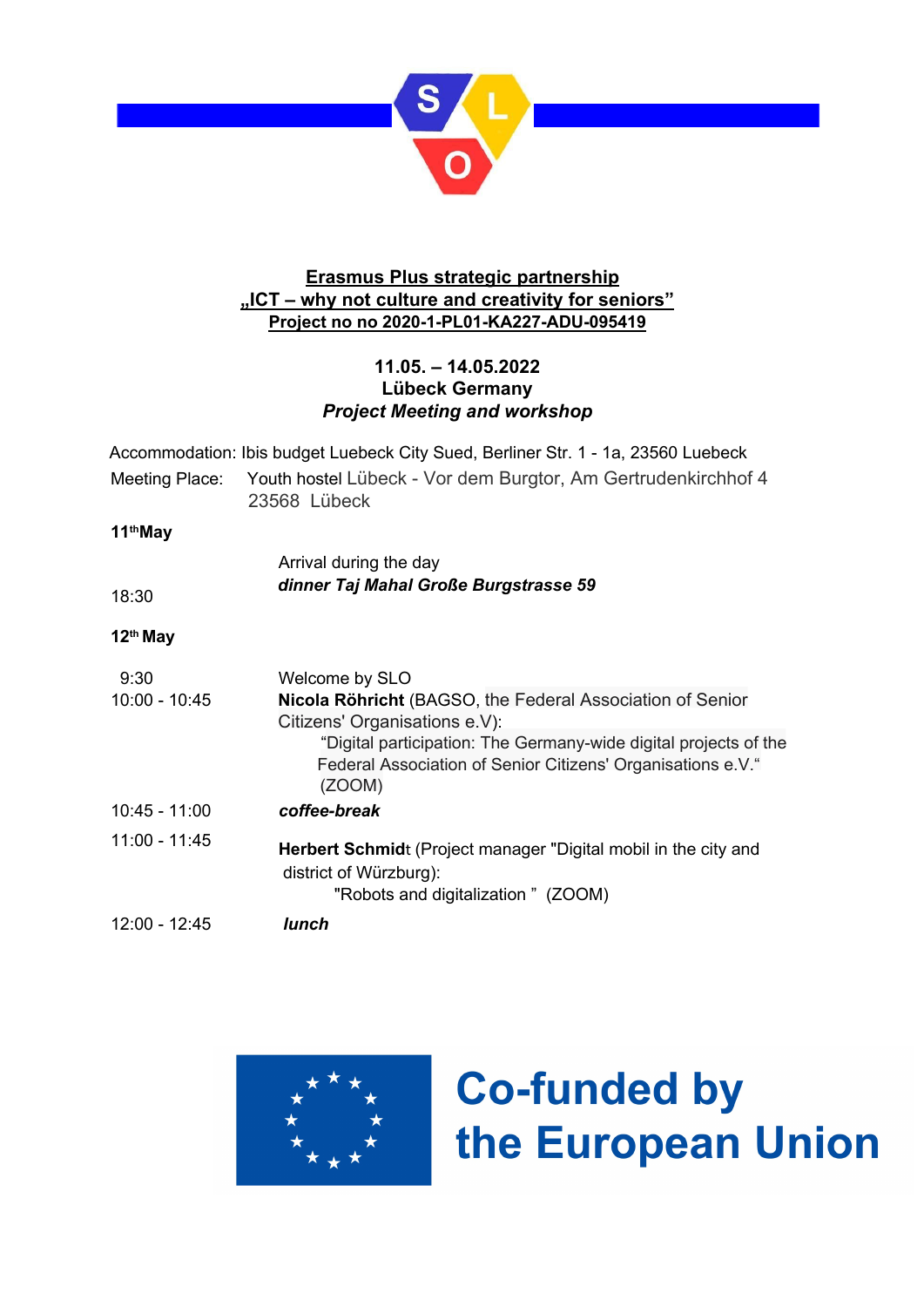

## **Erasmus Plus strategic partnership "ICT – why not culture and creativity for seniors" Project no no 2020-1-PL01-KA227-ADU-095419**

## **11.05. – 14.05.2022 Lübeck Germany** *Project Meeting and workshop*

|                      | Accommodation: Ibis budget Luebeck City Sued, Berliner Str. 1 - 1a, 23560 Luebeck                                                         |
|----------------------|-------------------------------------------------------------------------------------------------------------------------------------------|
|                      | Meeting Place: Youth hostel Lübeck - Vor dem Burgtor, Am Gertrudenkirchhof 4<br>23568 Lübeck                                              |
| 11 <sup>th</sup> May |                                                                                                                                           |
|                      | Arrival during the day                                                                                                                    |
| 18:30                | dinner Taj Mahal Große Burgstrasse 59                                                                                                     |
| $12th$ May           |                                                                                                                                           |
| 9:30                 | Welcome by SLO                                                                                                                            |
| $10:00 - 10:45$      | Nicola Röhricht (BAGSO, the Federal Association of Senior<br>Citizens' Organisations e.V):                                                |
|                      | "Digital participation: The Germany-wide digital projects of the<br>Federal Association of Senior Citizens' Organisations e.V."<br>(ZOOM) |
| $10:45 - 11:00$      | coffee-break                                                                                                                              |
| $11:00 - 11:45$      | <b>Herbert Schmidt</b> (Project manager "Digital mobil in the city and<br>district of Würzburg):<br>"Robots and digitalization" (ZOOM)    |
| 12:00 - 12:45        | lunch                                                                                                                                     |



**Co-funded by** the European Union